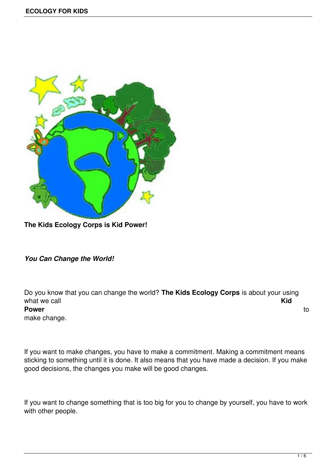

**The Kids Ecology Corps is Kid Power!**

*You Can Change the World!*

Do you know that you can change the world? **The Kids Ecology Corps** is about your using what we call **Kid Power** to the contract of the contract of the contract of the contract of the contract of the contract of the contract of the contract of the contract of the contract of the contract of the contract of the contract of the make change.

If you want to make changes, you have to make a commitment. Making a commitment means sticking to something until it is done. It also means that you have made a decision. If you make good decisions, the changes you make will be good changes.

If you want to change something that is too big for you to change by yourself, you have to work with other people.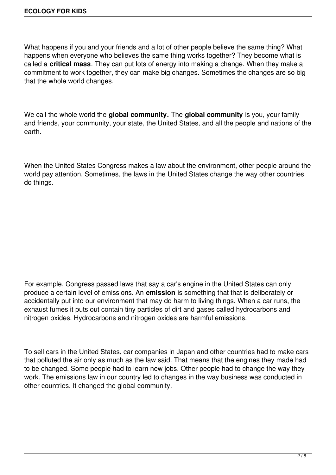What happens if you and your friends and a lot of other people believe the same thing? What happens when everyone who believes the same thing works together? They become what is called a **critical mass**. They can put lots of energy into making a change. When they make a commitment to work together, they can make big changes. Sometimes the changes are so big that the whole world changes.

We call the whole world the **global community.** The **global community** is you, your family and friends, your community, your state, the United States, and all the people and nations of the earth.

When the United States Congress makes a law about the environment, other people around the world pay attention. Sometimes, the laws in the United States change the way other countries do things.

For example, Congress passed laws that say a car's engine in the United States can only produce a certain level of emissions. An **emission** is something that that is deliberately or accidentally put into our environment that may do harm to living things. When a car runs, the exhaust fumes it puts out contain tiny particles of dirt and gases called hydrocarbons and nitrogen oxides. Hydrocarbons and nitrogen oxides are harmful emissions.

To sell cars in the United States, car companies in Japan and other countries had to make cars that polluted the air only as much as the law said. That means that the engines they made had to be changed. Some people had to learn new jobs. Other people had to change the way they work. The emissions law in our country led to changes in the way business was conducted in other countries. It changed the global community.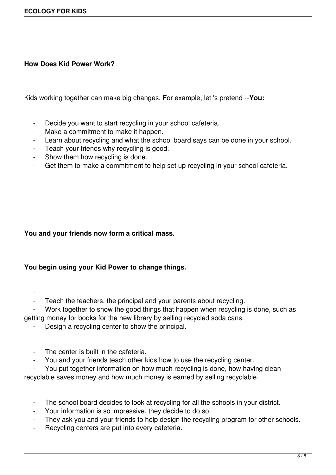## **How Does Kid Power Work?**

Kids working together can make big changes. For example, let 's pretend --**You:**

- Decide you want to start recycling in your school cafeteria.
- Make a commitment to make it happen.
- Learn about recycling and what the school board says can be done in your school.
- Teach your friends why recycling is good.
- Show them how recycling is done.
- Get them to make a commitment to help set up recycling in your school cafeteria.

## **You and your friends now form a critical mass.**

## **You begin using your Kid Power to change things.**

 $\sim$  -  $\sim$ 

- Teach the teachers, the principal and your parents about recycling.

Work together to show the good things that happen when recycling is done, such as getting money for books for the new library by selling recycled soda cans.

- Design a recycling center to show the principal.
- The center is built in the cafeteria.
- You and your friends teach other kids how to use the recycling center.

You put together information on how much recycling is done, how having clean recyclable saves money and how much money is earned by selling recyclable.

- The school board decides to look at recycling for all the schools in your district.
- Your information is so impressive, they decide to do so.
- They ask you and your friends to help design the recycling program for other schools.
- Recycling centers are put into every cafeteria.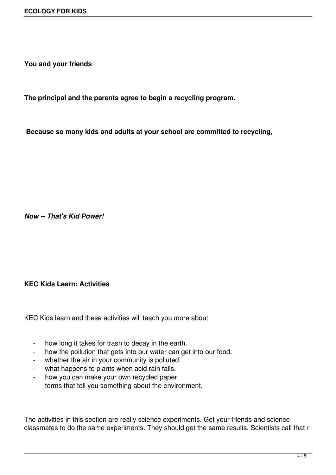**You and your friends**

**The principal and the parents agree to begin a recycling program.**

**Because so many kids and adults at your school are committed to recycling,**

*Now -- That's Kid Power!*

## **KEC Kids Learn: Activities**

KEC Kids learn and these activities will teach you more about

- how long it takes for trash to decay in the earth.
- how the pollution that gets into our water can get into our food.
- whether the air in your community is polluted.
- what happens to plants when acid rain falls.
- how you can make your own recycled paper.
- terms that tell you something about the environment.

The activities in this section are really science experiments. Get your friends and science classmates to do the same experiments. They should get the same results. Scientists call that r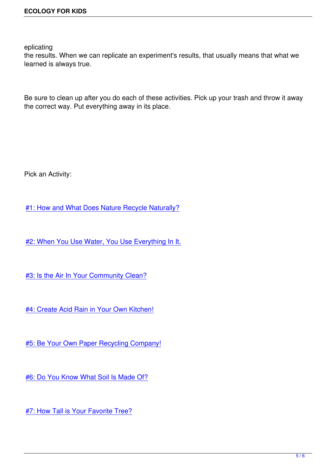eplicating

the results. When we can replicate an experiment's results, that usually means that what we learned is always true.

Be sure to clean up after you do each of these activities. Pick up your trash and throw it away the correct way. Put everything away in its place.

Pick an Activity:

#1: How and What Does Nature Recycle Naturally?

[#2: When You Use Water, You Use Everything In It.](http://www.kidsecologycorps.org/activity_1.html)

[#3: Is the Air In Your Community Clean?](http://www.kidsecologycorps.org/activity_2.html)

[#4: Create Acid Rain in Your Own Kitche](http://www.kidsecologycorps.org/activity_3.html)n!

[#5: Be Your Own Paper Recycling Compan](http://www.kidsecologycorps.org/activity_4.html)y!

[#6: Do You Know What Soil Is Made Of?](http://www.kidsecologycorps.org/activity_5.html)

[#7: How Tall is Your Favorite Tree?](http://www.kidsecologycorps.org/activity_6.html)